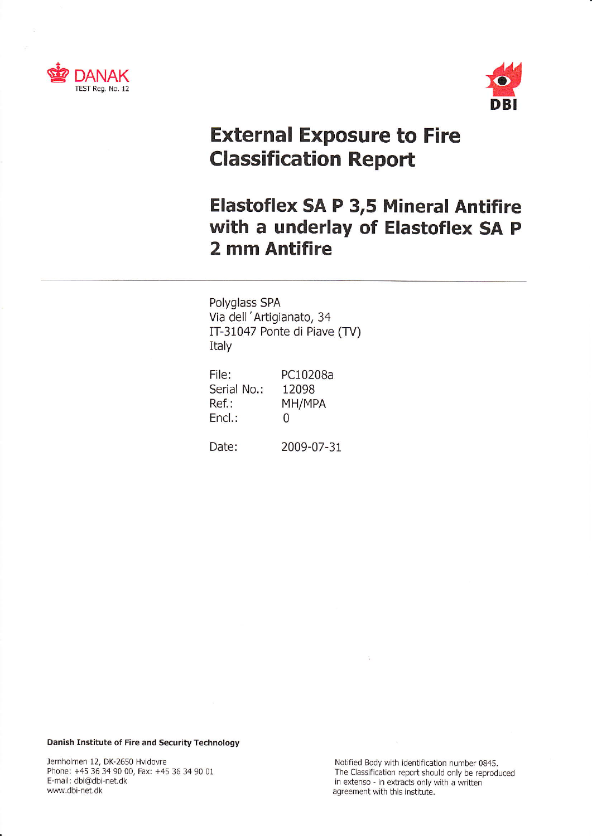



# External Exposure to Fire Classification Report

# Elastoflex SA P 3,5 Mineral Antifire with a underlay of Elastoflex SA <sup>P</sup> 2 mm Antifire

Polyglass SPA Via dell 'Aftigianato, <sup>34</sup> IT-31047 Ponte di Piave (TV) Italy

| File:<br>Serial No.: | PC10208a<br>12098 |
|----------------------|-------------------|
| Ref.:                | MH/MPA            |
| $End.$ :             | O                 |

Date: 2009-07-31

Danish Institute of Fire and Security Technology

Jernholmen 12, DK-2650 Hvidovre (1945) Jernholmen 12, DK-2650 Hvidovre Notified Body with identification number 0845.<br>Phone: +45 36 34 90 00, Fax: +45 36 34 90 01 E-mail: dbi@dbi-net.dk in extenso - in extracts only with a written www.dbi-net.dk agreement with this institute.

Phone: +45 36 34 90 00, Fax: +45 36 34 90 01 The Classification report should only be reproduced<br>E-mail: dbi@dbi-net.dk<br>F-mail: dbi@dbi-net.dk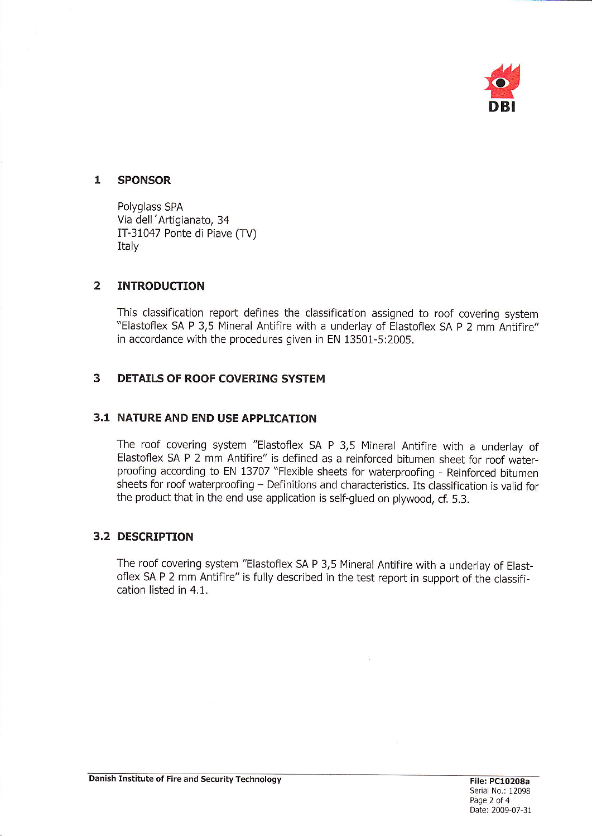

#### SPONSOR  $\mathbf{1}$

Polyglass SPA Via dell 'Artigianato, <sup>34</sup> ÍÍ-31047 Ponte di Piave (TV) Italv

#### $\overline{2}$ INTRODUCTION

This classification report defines the classification assigned to roof covering system "Elastoflex SA P 3,5 Mineral Antifire with a underlay of Elastoflex SA P 2 mm Antifire" in accordance with the procedures given in EN 13501-5:2005.

### 3 DETAILS OF ROOF COVERING SYSTEM

# 3.1 NATURE AND END USE APPLICATION

The roof covering system "Elastoflex SA P 3,5 Mineral Antifire with a underlav of Elastoflex SA P 2 mm Antifire" is defined as a reinforced bitumen sheet for roof waterproofing according to EN 13707 "Flexible sheets for waterproofing - Reinforced bitumen sheets for roof waterproofing - Definitions and characteristics. Its classification is valid for the product that in the end use application is self-glued on plywood, cf. 5.3.

## 3.2 DESCRIPTION

The roof covering system "Elastoflex sA P 3,5 Mineral Antifire with a underlay of Elastoflex SA P 2 mm Antifire" is fully described in the test report in support of the classification listed in 4.1.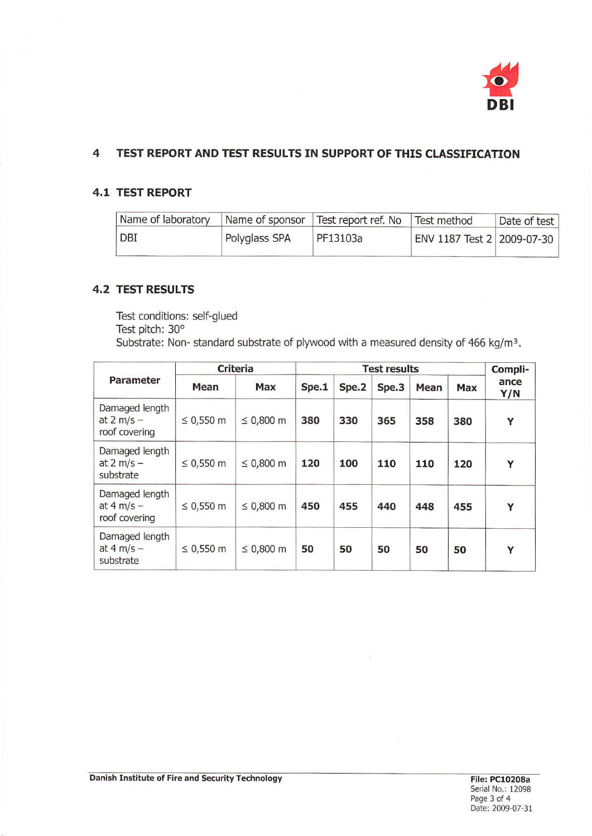

### $\overline{\mathbf{4}}$ TEST REPORT AND TEST RESULTS IN SUPPORT OF THIS CLASSIFICATION

# 4.t TEST REPORT

| Name of laboratory |               | Name of sponsor Test report ref. No Test method |                            | Date of test |
|--------------------|---------------|-------------------------------------------------|----------------------------|--------------|
| DBI                | Polyglass SPA | PF13103a                                        | ENV 1187 Test 2 2009-07-30 |              |

# 4,2 TEST RESULTS

Test conditions: self-glued Test pitch: 30° Substrate: Non- standard substrate of plywood with a measured density of 466 kg/m<sup>3</sup>.

| Parameter                                               | <b>Criteria</b> |                | <b>Test results</b> |       |       |      | Compli- |             |
|---------------------------------------------------------|-----------------|----------------|---------------------|-------|-------|------|---------|-------------|
|                                                         | Mean            | Max            | Spe.1               | Spe.2 | Spe.3 | Mean | Max     | ance<br>Y/N |
| Damaged length<br>at $2 \text{ m/s}$ -<br>roof covering | $\leq 0,550$ m  | $\leq 0,800$ m | 380                 | 330   | 365   | 358  | 380     | Y           |
| Damaged length<br>at 2 m/s $-$<br>substrate             | ≤ 0,550 m       | $\leq 0,800$ m | 120                 | 100   | 110   | 110  | 120     | Y           |
| Damaged length<br>at 4 m/s $-$<br>roof covering         | ≤ 0,550 m       | ≤ $0,800$ m    | 450                 | 455   | 440   | 448  | 455     | Ÿ           |
| Damaged length<br>at 4 m/s $-$<br>substrate             | ≤ 0,550 m       | $\leq 0,800$ m | 50                  | 50    | 50    | 50   | 50      | Y           |